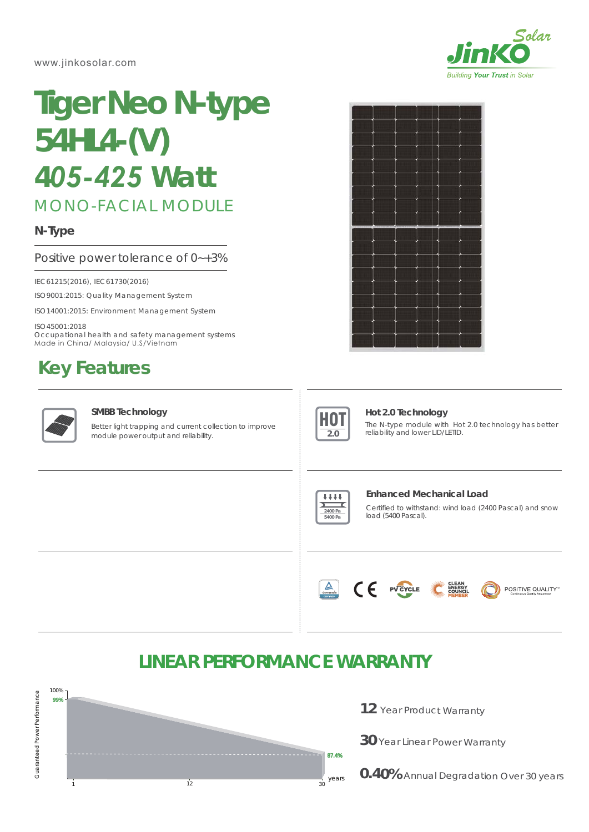www.jinkosolar.com



# **Tiger Neo N-type 54HL4-(V)** *405-425 Watt*

MONO-FACIAL MODULE

# **N-Type**

Positive power tolerance of 0~+3%

IEC61215(2016), IEC61730(2016)

ISO9001:2015: Quality Management System

ISO14001:2015: Environment Management System

ISO45001:2018 Occupational health and safety management systems Made in China/ Malaysia/ U.S/Vietnam

# **Key Features**



### **SMBB Technology**

Better light trapping and current collection to improve module power output and reliability.





### **Hot 2.0 Technology**

The N-type module with Hot 2.0 technology has better reliability and lower LID/LETID.



#### **Enhanced Mechanical Load**

Certified to withstand: wind load (2400 Pascal) and snow load (5400 Pascal).



# **LINEAR PERFORMANCE WARRANTY**



- 12 Year Product Warranty
- **30** Year Linear Power Warranty
- **0.40%** Annual Degradation Over 30 years